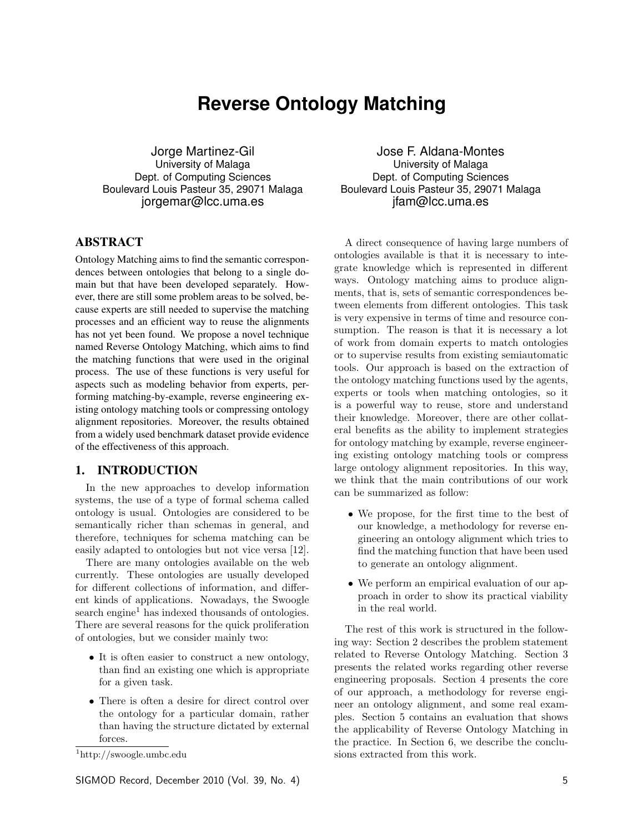# **Reverse Ontology Matching**

Jorge Martinez-Gil University of Malaga Dept. of Computing Sciences Boulevard Louis Pasteur 35, 29071 Malaga jorgemar@lcc.uma.es

# ABSTRACT

Ontology Matching aims to find the semantic correspondences between ontologies that belong to a single domain but that have been developed separately. However, there are still some problem areas to be solved, because experts are still needed to supervise the matching processes and an efficient way to reuse the alignments has not yet been found. We propose a novel technique named Reverse Ontology Matching, which aims to find the matching functions that were used in the original process. The use of these functions is very useful for aspects such as modeling behavior from experts, performing matching-by-example, reverse engineering existing ontology matching tools or compressing ontology alignment repositories. Moreover, the results obtained from a widely used benchmark dataset provide evidence of the effectiveness of this approach.

## 1. INTRODUCTION

In the new approaches to develop information systems, the use of a type of formal schema called ontology is usual. Ontologies are considered to be semantically richer than schemas in general, and therefore, techniques for schema matching can be easily adapted to ontologies but not vice versa [12].

There are many ontologies available on the web currently. These ontologies are usually developed for different collections of information, and different kinds of applications. Nowadays, the Swoogle search engine<sup>1</sup> has indexed thousands of ontologies. There are several reasons for the quick proliferation of ontologies, but we consider mainly two:

- It is often easier to construct a new ontology, than find an existing one which is appropriate for a given task.
- There is often a desire for direct control over the ontology for a particular domain, rather than having the structure dictated by external forces.

SIGMOD Record, December 2010 (Vol. 39, No. 4) 5

Jose F. Aldana-Montes University of Malaga Dept. of Computing Sciences Boulevard Louis Pasteur 35, 29071 Malaga jfam@lcc.uma.es

A direct consequence of having large numbers of ontologies available is that it is necessary to integrate knowledge which is represented in different ways. Ontology matching aims to produce alignments, that is, sets of semantic correspondences between elements from different ontologies. This task is very expensive in terms of time and resource consumption. The reason is that it is necessary a lot of work from domain experts to match ontologies or to supervise results from existing semiautomatic tools. Our approach is based on the extraction of the ontology matching functions used by the agents, experts or tools when matching ontologies, so it is a powerful way to reuse, store and understand their knowledge. Moreover, there are other collateral benefits as the ability to implement strategies for ontology matching by example, reverse engineering existing ontology matching tools or compress large ontology alignment repositories. In this way, we think that the main contributions of our work can be summarized as follow:

- We propose, for the first time to the best of our knowledge, a methodology for reverse engineering an ontology alignment which tries to find the matching function that have been used to generate an ontology alignment.
- We perform an empirical evaluation of our approach in order to show its practical viability in the real world.

The rest of this work is structured in the following way: Section 2 describes the problem statement related to Reverse Ontology Matching. Section 3 presents the related works regarding other reverse engineering proposals. Section 4 presents the core of our approach, a methodology for reverse engineer an ontology alignment, and some real examples. Section 5 contains an evaluation that shows the applicability of Reverse Ontology Matching in the practice. In Section 6, we describe the conclusions extracted from this work.

<sup>1</sup>http://swoogle.umbc.edu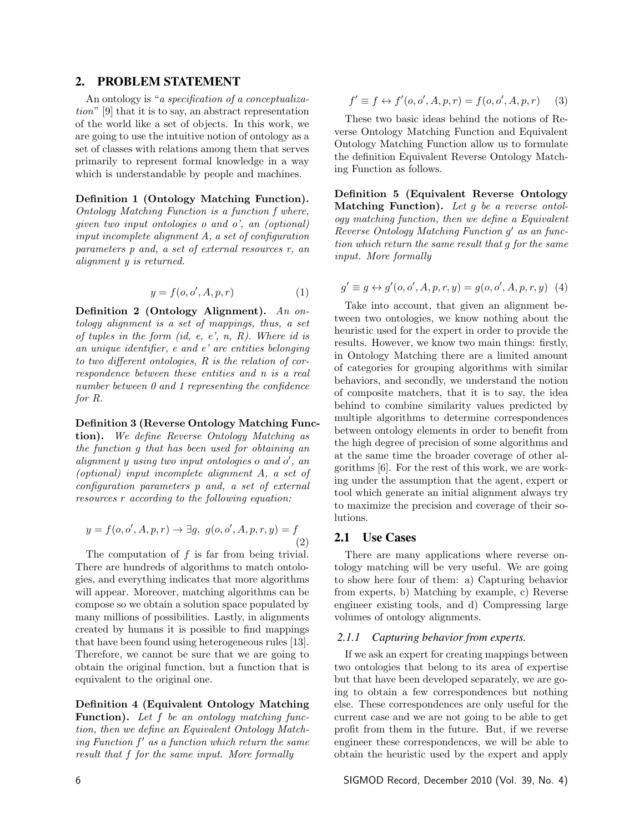## 2. PROBLEM STATEMENT

An ontology is "a specification of a conceptualization" [9] that it is to say, an abstract representation of the world like a set of objects. In this work, we are going to use the intuitive notion of ontology as a set of classes with relations among them that serves primarily to represent formal knowledge in a way which is understandable by people and machines.

Definition 1 (Ontology Matching Function). Ontology Matching Function is a function f where, given two input ontologies o and o', an (optional) input incomplete alignment A, a set of configuration parameters p and, a set of external resources r, an alignment y is returned.

$$
y = f(o, o', A, p, r) \tag{1}
$$

Definition 2 (Ontology Alignment). An ontology alignment is a set of mappings, thus, a set of tuples in the form  $(id, e, e', n, R)$ . Where id is an unique identifier, e and e' are entities belonging to two different ontologies, R is the relation of correspondence between these entities and n is a real number between 0 and 1 representing the confidence for R.

#### Definition 3 (Reverse Ontology Matching Func-

tion). We define Reverse Ontology Matching as the function g that has been used for obtaining an  $alignment y using two input ontologies of and  $o'$ , an$ (optional) input incomplete alignment A, a set of configuration parameters p and, a set of external resources r according to the following equation:

$$
y = f(o, o', A, p, r) \to \exists g, \ g(o, o', A, p, r, y) = f
$$
\n(2)

The computation of  $f$  is far from being trivial. There are hundreds of algorithms to match ontologies, and everything indicates that more algorithms will appear. Moreover, matching algorithms can be compose so we obtain a solution space populated by many millions of possibilities. Lastly, in alignments created by humans it is possible to find mappings that have been found using heterogeneous rules [13]. Therefore, we cannot be sure that we are going to obtain the original function, but a function that is equivalent to the original one.

Definition 4 (Equivalent Ontology Matching Function). Let f be an ontology matching function, then we define an Equivalent Ontology Match $ing Function f'$  as a function which return the same result that f for the same input. More formally

$$
f' \equiv f \leftrightarrow f'(o, o', A, p, r) = f(o, o', A, p, r) \tag{3}
$$

These two basic ideas behind the notions of Reverse Ontology Matching Function and Equivalent Ontology Matching Function allow us to formulate the definition Equivalent Reverse Ontology Matching Function as follows.

Definition 5 (Equivalent Reverse Ontology Matching Function). Let  $g$  be a reverse ontology matching function, then we define a Equivalent Reverse Ontology Matching Function g' as an function which return the same result that g for the same input. More formally

$$
g' \equiv g \leftrightarrow g'(o, o', A, p, r, y) = g(o, o', A, p, r, y) \tag{4}
$$

Take into account, that given an alignment between two ontologies, we know nothing about the heuristic used for the expert in order to provide the results. However, we know two main things: firstly, in Ontology Matching there are a limited amount of categories for grouping algorithms with similar behaviors, and secondly, we understand the notion of composite matchers, that it is to say, the idea behind to combine similarity values predicted by multiple algorithms to determine correspondences between ontology elements in order to benefit from the high degree of precision of some algorithms and at the same time the broader coverage of other algorithms [6]. For the rest of this work, we are working under the assumption that the agent, expert or tool which generate an initial alignment always try to maximize the precision and coverage of their solutions.

#### 2.1 Use Cases

There are many applications where reverse ontology matching will be very useful. We are going to show here four of them: a) Capturing behavior from experts, b) Matching by example, c) Reverse engineer existing tools, and d) Compressing large volumes of ontology alignments.

#### *2.1.1 Capturing behavior from experts.*

If we ask an expert for creating mappings between two ontologies that belong to its area of expertise but that have been developed separately, we are going to obtain a few correspondences but nothing else. These correspondences are only useful for the current case and we are not going to be able to get profit from them in the future. But, if we reverse engineer these correspondences, we will be able to obtain the heuristic used by the expert and apply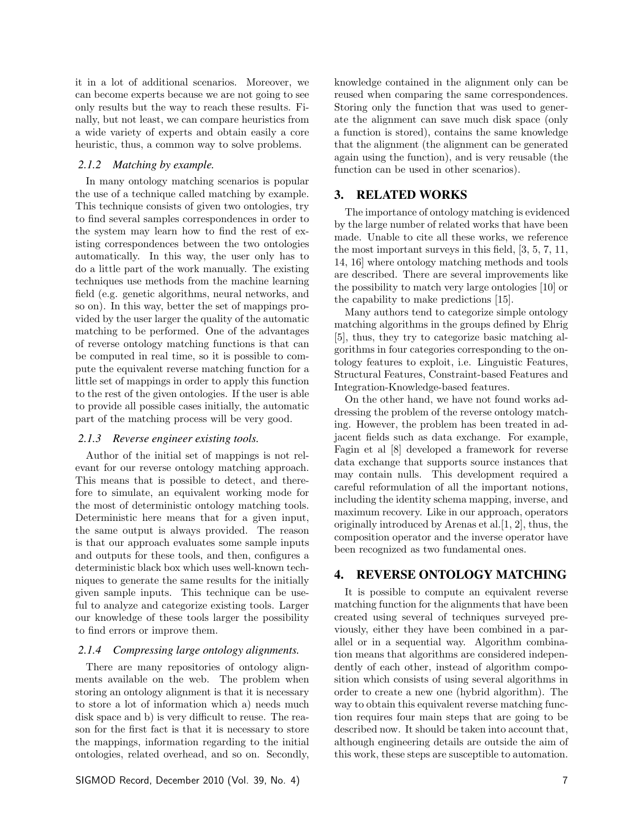it in a lot of additional scenarios. Moreover, we can become experts because we are not going to see only results but the way to reach these results. Finally, but not least, we can compare heuristics from a wide variety of experts and obtain easily a core heuristic, thus, a common way to solve problems.

#### *2.1.2 Matching by example.*

In many ontology matching scenarios is popular the use of a technique called matching by example. This technique consists of given two ontologies, try to find several samples correspondences in order to the system may learn how to find the rest of existing correspondences between the two ontologies automatically. In this way, the user only has to do a little part of the work manually. The existing techniques use methods from the machine learning field (e.g. genetic algorithms, neural networks, and so on). In this way, better the set of mappings provided by the user larger the quality of the automatic matching to be performed. One of the advantages of reverse ontology matching functions is that can be computed in real time, so it is possible to compute the equivalent reverse matching function for a little set of mappings in order to apply this function to the rest of the given ontologies. If the user is able to provide all possible cases initially, the automatic part of the matching process will be very good.

#### *2.1.3 Reverse engineer existing tools.*

Author of the initial set of mappings is not relevant for our reverse ontology matching approach. This means that is possible to detect, and therefore to simulate, an equivalent working mode for the most of deterministic ontology matching tools. Deterministic here means that for a given input, the same output is always provided. The reason is that our approach evaluates some sample inputs and outputs for these tools, and then, configures a deterministic black box which uses well-known techniques to generate the same results for the initially given sample inputs. This technique can be useful to analyze and categorize existing tools. Larger our knowledge of these tools larger the possibility to find errors or improve them.

#### *2.1.4 Compressing large ontology alignments.*

There are many repositories of ontology alignments available on the web. The problem when storing an ontology alignment is that it is necessary to store a lot of information which a) needs much disk space and b) is very difficult to reuse. The reason for the first fact is that it is necessary to store the mappings, information regarding to the initial ontologies, related overhead, and so on. Secondly, knowledge contained in the alignment only can be reused when comparing the same correspondences. Storing only the function that was used to generate the alignment can save much disk space (only a function is stored), contains the same knowledge that the alignment (the alignment can be generated again using the function), and is very reusable (the function can be used in other scenarios).

### 3. RELATED WORKS

The importance of ontology matching is evidenced by the large number of related works that have been made. Unable to cite all these works, we reference the most important surveys in this field, [3, 5, 7, 11, 14, 16] where ontology matching methods and tools are described. There are several improvements like the possibility to match very large ontologies [10] or the capability to make predictions [15].

Many authors tend to categorize simple ontology matching algorithms in the groups defined by Ehrig [5], thus, they try to categorize basic matching algorithms in four categories corresponding to the ontology features to exploit, i.e. Linguistic Features, Structural Features, Constraint-based Features and Integration-Knowledge-based features.

On the other hand, we have not found works addressing the problem of the reverse ontology matching. However, the problem has been treated in adjacent fields such as data exchange. For example, Fagin et al [8] developed a framework for reverse data exchange that supports source instances that may contain nulls. This development required a careful reformulation of all the important notions, including the identity schema mapping, inverse, and maximum recovery. Like in our approach, operators originally introduced by Arenas et al.[1, 2], thus, the composition operator and the inverse operator have been recognized as two fundamental ones.

## 4. REVERSE ONTOLOGY MATCHING

It is possible to compute an equivalent reverse matching function for the alignments that have been created using several of techniques surveyed previously, either they have been combined in a parallel or in a sequential way. Algorithm combination means that algorithms are considered independently of each other, instead of algorithm composition which consists of using several algorithms in order to create a new one (hybrid algorithm). The way to obtain this equivalent reverse matching function requires four main steps that are going to be described now. It should be taken into account that, although engineering details are outside the aim of this work, these steps are susceptible to automation.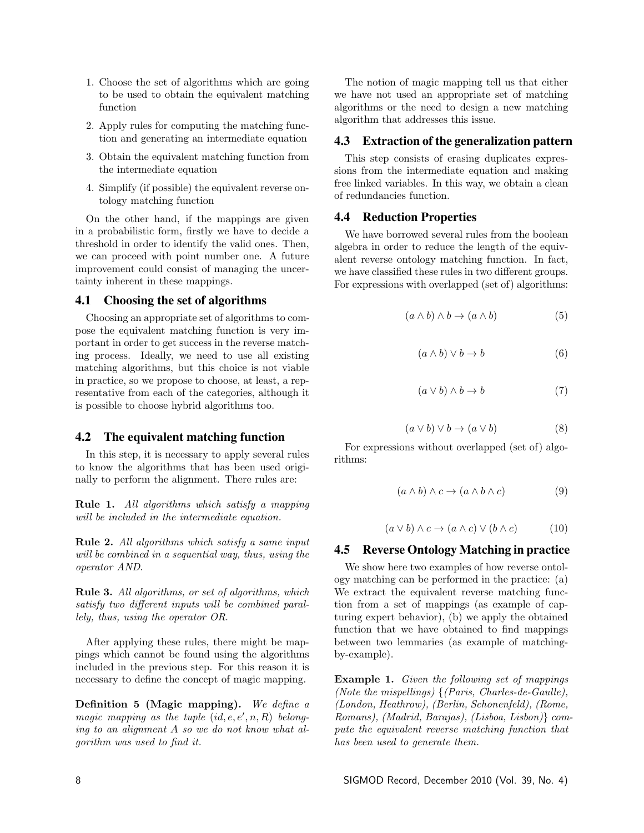- 1. Choose the set of algorithms which are going to be used to obtain the equivalent matching function
- 2. Apply rules for computing the matching function and generating an intermediate equation
- 3. Obtain the equivalent matching function from the intermediate equation
- 4. Simplify (if possible) the equivalent reverse ontology matching function

On the other hand, if the mappings are given in a probabilistic form, firstly we have to decide a threshold in order to identify the valid ones. Then, we can proceed with point number one. A future improvement could consist of managing the uncertainty inherent in these mappings.

### 4.1 Choosing the set of algorithms

Choosing an appropriate set of algorithms to compose the equivalent matching function is very important in order to get success in the reverse matching process. Ideally, we need to use all existing matching algorithms, but this choice is not viable in practice, so we propose to choose, at least, a representative from each of the categories, although it is possible to choose hybrid algorithms too.

#### 4.2 The equivalent matching function

In this step, it is necessary to apply several rules to know the algorithms that has been used originally to perform the alignment. There rules are:

Rule 1. All algorithms which satisfy a mapping will be included in the intermediate equation.

Rule 2. All algorithms which satisfy a same input will be combined in a sequential way, thus, using the operator AND.

Rule 3. All algorithms, or set of algorithms, which satisfy two different inputs will be combined parallely, thus, using the operator OR.

After applying these rules, there might be mappings which cannot be found using the algorithms included in the previous step. For this reason it is necessary to define the concept of magic mapping.

Definition 5 (Magic mapping). We define a magic mapping as the tuple  $(id, e, e', n, R)$  belonging to an alignment A so we do not know what algorithm was used to find it.

The notion of magic mapping tell us that either we have not used an appropriate set of matching algorithms or the need to design a new matching algorithm that addresses this issue.

### 4.3 Extraction of the generalization pattern

This step consists of erasing duplicates expressions from the intermediate equation and making free linked variables. In this way, we obtain a clean of redundancies function.

#### 4.4 Reduction Properties

We have borrowed several rules from the boolean algebra in order to reduce the length of the equivalent reverse ontology matching function. In fact, we have classified these rules in two different groups. For expressions with overlapped (set of) algorithms:

$$
(a \wedge b) \wedge b \rightarrow (a \wedge b) \tag{5}
$$

$$
(a \wedge b) \vee b \to b \tag{6}
$$

$$
(a \lor b) \land b \to b \tag{7}
$$

$$
(a \lor b) \lor b \to (a \lor b) \tag{8}
$$

For expressions without overlapped (set of) algorithms:

$$
(a \wedge b) \wedge c \rightarrow (a \wedge b \wedge c) \tag{9}
$$

$$
(a \lor b) \land c \to (a \land c) \lor (b \land c) \tag{10}
$$

#### 4.5 Reverse Ontology Matching in practice

We show here two examples of how reverse ontology matching can be performed in the practice: (a) We extract the equivalent reverse matching function from a set of mappings (as example of capturing expert behavior), (b) we apply the obtained function that we have obtained to find mappings between two lemmaries (as example of matchingby-example).

Example 1. Given the following set of mappings (Note the mispellings) {(Paris, Charles-de-Gaulle), (London, Heathrow), (Berlin, Schonenfeld), (Rome, Romans), (Madrid, Barajas), (Lisboa, Lisbon)} compute the equivalent reverse matching function that has been used to generate them.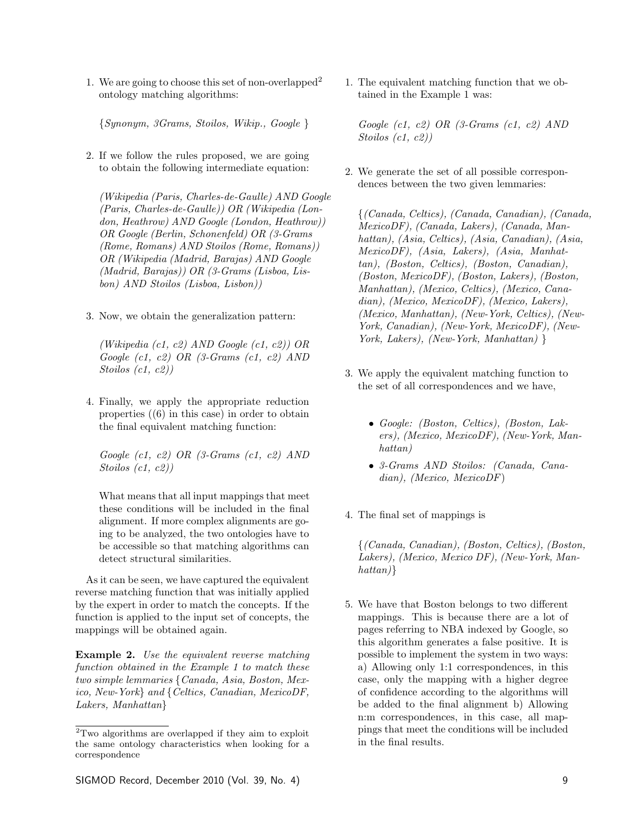1. We are going to choose this set of non-overlapped<sup>2</sup> ontology matching algorithms:

{Synonym, 3Grams, Stoilos, Wikip., Google }

2. If we follow the rules proposed, we are going to obtain the following intermediate equation:

(Wikipedia (Paris, Charles-de-Gaulle) AND Google (Paris, Charles-de-Gaulle)) OR (Wikipedia (London, Heathrow) AND Google (London, Heathrow)) OR Google (Berlin, Schonenfeld) OR (3-Grams (Rome, Romans) AND Stoilos (Rome, Romans)) OR (Wikipedia (Madrid, Barajas) AND Google (Madrid, Barajas)) OR (3-Grams (Lisboa, Lisbon) AND Stoilos (Lisboa, Lisbon))

3. Now, we obtain the generalization pattern:

(Wikipedia (c1, c2) AND Google (c1, c2)) OR Google (c1, c2) OR (3-Grams (c1, c2) AND Stoilos (c1, c2))

4. Finally, we apply the appropriate reduction properties ((6) in this case) in order to obtain the final equivalent matching function:

Google  $(c1, c2)$  OR  $(3$ -Grams  $(c1, c2)$  AND Stoilos (c1, c2))

What means that all input mappings that meet these conditions will be included in the final alignment. If more complex alignments are going to be analyzed, the two ontologies have to be accessible so that matching algorithms can detect structural similarities.

As it can be seen, we have captured the equivalent reverse matching function that was initially applied by the expert in order to match the concepts. If the function is applied to the input set of concepts, the mappings will be obtained again.

Example 2. Use the equivalent reverse matching function obtained in the Example 1 to match these two simple lemmaries {Canada, Asia, Boston, Mexico, New-York} and {Celtics, Canadian, MexicoDF, Lakers, Manhattan}

SIGMOD Record, December 2010 (Vol. 39, No. 4) 9

1. The equivalent matching function that we obtained in the Example 1 was:

Google (c1, c2) OR (3-Grams (c1, c2) AND Stoilos (c1, c2))

2. We generate the set of all possible correspondences between the two given lemmaries:

{(Canada, Celtics), (Canada, Canadian), (Canada, MexicoDF), (Canada, Lakers), (Canada, Manhattan), (Asia, Celtics), (Asia, Canadian), (Asia, MexicoDF), (Asia, Lakers), (Asia, Manhattan), (Boston, Celtics), (Boston, Canadian), (Boston, MexicoDF), (Boston, Lakers), (Boston, Manhattan), (Mexico, Celtics), (Mexico, Canadian), (Mexico, MexicoDF), (Mexico, Lakers), (Mexico, Manhattan), (New-York, Celtics), (New-York, Canadian), (New-York, MexicoDF), (New-York, Lakers), (New-York, Manhattan) }

- 3. We apply the equivalent matching function to the set of all correspondences and we have,
	- Google: (Boston, Celtics), (Boston, Lakers), (Mexico, MexicoDF), (New-York, Manhattan)
	- 3-Grams AND Stoilos: (Canada, Canadian), (Mexico, MexicoDF)
- 4. The final set of mappings is

{(Canada, Canadian), (Boston, Celtics), (Boston, Lakers), (Mexico, Mexico DF), (New-York, Manhattan)}

5. We have that Boston belongs to two different mappings. This is because there are a lot of pages referring to NBA indexed by Google, so this algorithm generates a false positive. It is possible to implement the system in two ways: a) Allowing only 1:1 correspondences, in this case, only the mapping with a higher degree of confidence according to the algorithms will be added to the final alignment b) Allowing n:m correspondences, in this case, all mappings that meet the conditions will be included in the final results.

 $\overline{2_{\text{Two}}}$  algorithms are overlapped if they aim to exploit the same ontology characteristics when looking for a correspondence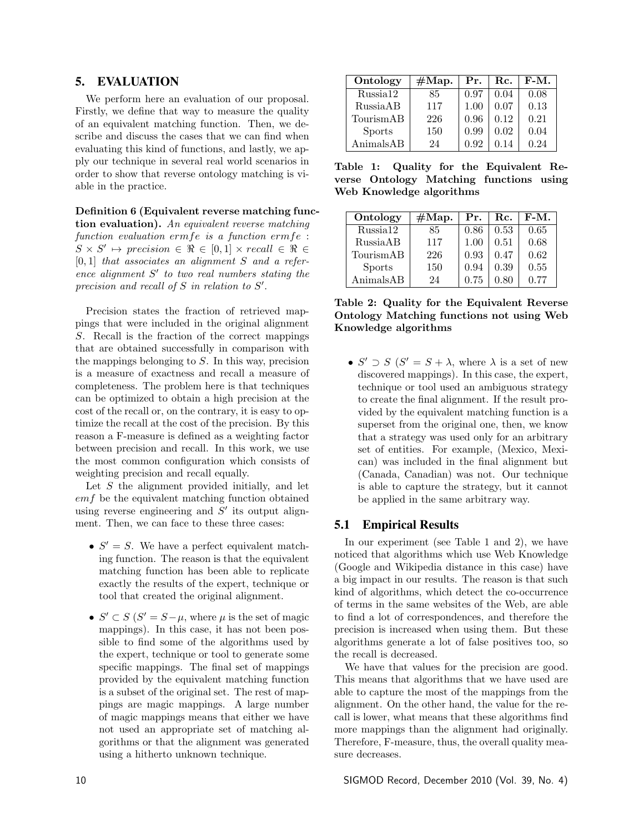# 5. EVALUATION

We perform here an evaluation of our proposal. Firstly, we define that way to measure the quality of an equivalent matching function. Then, we describe and discuss the cases that we can find when evaluating this kind of functions, and lastly, we apply our technique in several real world scenarios in order to show that reverse ontology matching is viable in the practice.

Definition 6 (Equivalent reverse matching func-

tion evaluation). An equivalent reverse matching function evaluation ermfe is a function ermfe :  $S \times S' \mapsto \text{precision} \in \Re \in [0,1] \times \text{recall} \in \Re \in$  $[0, 1]$  that associates an alignment S and a reference alignment  $S'$  to two real numbers stating the precision and recall of  $S$  in relation to  $S'$ .

Precision states the fraction of retrieved mappings that were included in the original alignment S. Recall is the fraction of the correct mappings that are obtained successfully in comparison with the mappings belonging to  $S$ . In this way, precision is a measure of exactness and recall a measure of completeness. The problem here is that techniques can be optimized to obtain a high precision at the cost of the recall or, on the contrary, it is easy to optimize the recall at the cost of the precision. By this reason a F-measure is defined as a weighting factor between precision and recall. In this work, we use the most common configuration which consists of weighting precision and recall equally.

Let  $S$  the alignment provided initially, and let emf be the equivalent matching function obtained using reverse engineering and  $S'$  its output alignment. Then, we can face to these three cases:

- $S' = S$ . We have a perfect equivalent matching function. The reason is that the equivalent matching function has been able to replicate exactly the results of the expert, technique or tool that created the original alignment.
- $S' \subset S$   $(S' = S \mu$ , where  $\mu$  is the set of magic mappings). In this case, it has not been possible to find some of the algorithms used by the expert, technique or tool to generate some specific mappings. The final set of mappings provided by the equivalent matching function is a subset of the original set. The rest of mappings are magic mappings. A large number of magic mappings means that either we have not used an appropriate set of matching algorithms or that the alignment was generated using a hitherto unknown technique.

| Ontology             | #Map. | Pr.  | $\rm{Rc}$ . | $F-M.$ |
|----------------------|-------|------|-------------|--------|
| Russia <sub>12</sub> | 85    | 0.97 | 0.04        | 0.08   |
| RussiaAB             | 117   | 1.00 | 0.07        | 0.13   |
| TourismAB            | 226   | 0.96 | 0.12        | 0.21   |
| <b>Sports</b>        | 150   | 0.99 | 0.02        | 0.04   |
| AnimalsAB            | 24    | 0.92 | 0.14        | 0.24   |

Table 1: Quality for the Equivalent Reverse Ontology Matching functions using Web Knowledge algorithms

| Ontology      | #Map. | Pr.  | Rc.      | $F-M.$ |
|---------------|-------|------|----------|--------|
| Russia12      | 85    | 0.86 | 0.53     | 0.65   |
| RussiaAB      | 117   | 1.00 | 0.51     | 0.68   |
| TourismAB     | 226   | 0.93 | 0.47     | 0.62   |
| <b>Sports</b> | 150   | 0.94 | 0.39     | 0.55   |
| AnimalsAB     | 24    | 0.75 | $0.80\,$ | 0.77   |

Table 2: Quality for the Equivalent Reverse Ontology Matching functions not using Web Knowledge algorithms

•  $S' \supset S$   $(S' = S + \lambda$ , where  $\lambda$  is a set of new discovered mappings). In this case, the expert, technique or tool used an ambiguous strategy to create the final alignment. If the result provided by the equivalent matching function is a superset from the original one, then, we know that a strategy was used only for an arbitrary set of entities. For example, (Mexico, Mexican) was included in the final alignment but (Canada, Canadian) was not. Our technique is able to capture the strategy, but it cannot be applied in the same arbitrary way.

# 5.1 Empirical Results

In our experiment (see Table 1 and 2), we have noticed that algorithms which use Web Knowledge (Google and Wikipedia distance in this case) have a big impact in our results. The reason is that such kind of algorithms, which detect the co-occurrence of terms in the same websites of the Web, are able to find a lot of correspondences, and therefore the precision is increased when using them. But these algorithms generate a lot of false positives too, so the recall is decreased.

We have that values for the precision are good. This means that algorithms that we have used are able to capture the most of the mappings from the alignment. On the other hand, the value for the recall is lower, what means that these algorithms find more mappings than the alignment had originally. Therefore, F-measure, thus, the overall quality measure decreases.